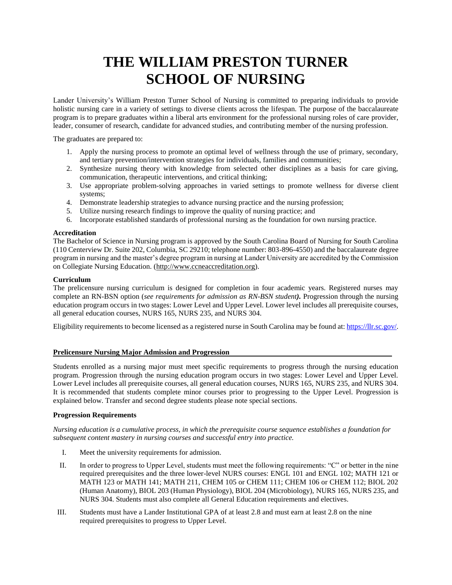# **THE WILLIAM PRESTON TURNER SCHOOL OF NURSING**

Lander University's William Preston Turner School of Nursing is committed to preparing individuals to provide holistic nursing care in a variety of settings to diverse clients across the lifespan. The purpose of the baccalaureate program is to prepare graduates within a liberal arts environment for the professional nursing roles of care provider, leader, consumer of research, candidate for advanced studies, and contributing member of the nursing profession.

The graduates are prepared to:

- 1. Apply the nursing process to promote an optimal level of wellness through the use of primary, secondary, and tertiary prevention/intervention strategies for individuals, families and communities;
- 2. Synthesize nursing theory with knowledge from selected other disciplines as a basis for care giving, communication, therapeutic interventions, and critical thinking;
- 3. Use appropriate problem-solving approaches in varied settings to promote wellness for diverse client systems;
- 4. Demonstrate leadership strategies to advance nursing practice and the nursing profession;
- 5. Utilize nursing research findings to improve the quality of nursing practice; and
- 6. Incorporate established standards of professional nursing as the foundation for own nursing practice.

#### **Accreditation**

The Bachelor of Science in Nursing program is approved by the South Carolina Board of Nursing for South Carolina (110 Centerview Dr. Suite 202, Columbia, SC 29210; telephone number: 803-896-4550) and the baccalaureate degree program in nursing and the master's degree program in nursing at Lander University are accredited by the Commission on Collegiate Nursing Education. [\(http://www.ccneaccreditation.org\)](http://www.ccneaccreditation.org/).

#### **Curriculum**

The prelicensure nursing curriculum is designed for completion in four academic years. Registered nurses may complete an RN-BSN option (*see requirements for admission as RN-BSN student).* Progression through the nursing education program occurs in two stages: Lower Level and Upper Level. Lower level includes all prerequisite courses, all general education courses, NURS 165, NURS 235, and NURS 304.

Eligibility requirements to become licensed as a registered nurse in South Carolina may be found at[: https://llr.sc.gov/.](https://llr.sc.gov/)

#### **Prelicensure Nursing Major Admission and Progression**

Students enrolled as a nursing major must meet specific requirements to progress through the nursing education program. Progression through the nursing education program occurs in two stages: Lower Level and Upper Level. Lower Level includes all prerequisite courses, all general education courses, NURS 165, NURS 235, and NURS 304. It is recommended that students complete minor courses prior to progressing to the Upper Level. Progression is explained below. Transfer and second degree students please note special sections.

#### **Progression Requirements**

*Nursing education is a cumulative process, in which the prerequisite course sequence establishes a foundation for subsequent content mastery in nursing courses and successful entry into practice.* 

- I. Meet the university requirements for admission.
- II. In order to progress to Upper Level, students must meet the following requirements: "C" or better in the nine required prerequisites and the three lower-level NURS courses: ENGL 101 and ENGL 102; MATH 121 or MATH 123 or MATH 141; MATH 211, CHEM 105 or CHEM 111; CHEM 106 or CHEM 112; BIOL 202 (Human Anatomy), BIOL 203 (Human Physiology), BIOL 204 (Microbiology), NURS 165, NURS 235, and NURS 304. Students must also complete all General Education requirements and electives.
- III. Students must have a Lander Institutional GPA of at least 2.8 and must earn at least 2.8 on the nine required prerequisites to progress to Upper Level.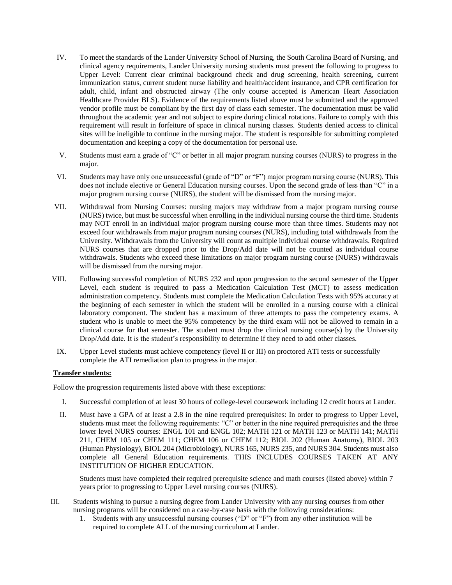- IV. To meet the standards of the Lander University School of Nursing, the South Carolina Board of Nursing, and clinical agency requirements, Lander University nursing students must present the following to progress to Upper Level: Current clear criminal background check and drug screening, health screening, current immunization status, current student nurse liability and health/accident insurance, and CPR certification for adult, child, infant and obstructed airway (The only course accepted is American Heart Association Healthcare Provider BLS). Evidence of the requirements listed above must be submitted and the approved vendor profile must be compliant by the first day of class each semester. The documentation must be valid throughout the academic year and not subject to expire during clinical rotations. Failure to comply with this requirement will result in forfeiture of space in clinical nursing classes. Students denied access to clinical sites will be ineligible to continue in the nursing major. The student is responsible for submitting completed documentation and keeping a copy of the documentation for personal use.
- V. Students must earn a grade of "C" or better in all major program nursing courses (NURS) to progress in the major.
- VI. Students may have only one unsuccessful (grade of "D" or "F") major program nursing course (NURS). This does not include elective or General Education nursing courses. Upon the second grade of less than "C" in a major program nursing course (NURS), the student will be dismissed from the nursing major.
- VII. Withdrawal from Nursing Courses: nursing majors may withdraw from a major program nursing course (NURS) twice, but must be successful when enrolling in the individual nursing course the third time. Students may NOT enroll in an individual major program nursing course more than three times. Students may not exceed four withdrawals from major program nursing courses (NURS), including total withdrawals from the University. Withdrawals from the University will count as multiple individual course withdrawals. Required NURS courses that are dropped prior to the Drop/Add date will not be counted as individual course withdrawals. Students who exceed these limitations on major program nursing course (NURS) withdrawals will be dismissed from the nursing major.
- VIII. Following successful completion of NURS 232 and upon progression to the second semester of the Upper Level, each student is required to pass a Medication Calculation Test (MCT) to assess medication administration competency. Students must complete the Medication Calculation Tests with 95% accuracy at the beginning of each semester in which the student will be enrolled in a nursing course with a clinical laboratory component. The student has a maximum of three attempts to pass the competency exams. A student who is unable to meet the 95% competency by the third exam will not be allowed to remain in a clinical course for that semester. The student must drop the clinical nursing course(s) by the University Drop/Add date. It is the student's responsibility to determine if they need to add other classes.
- IX. Upper Level students must achieve competency (level II or III) on proctored ATI tests or successfully complete the ATI remediation plan to progress in the major.

#### **Transfer students:**

Follow the progression requirements listed above with these exceptions:

- I. Successful completion of at least 30 hours of college-level coursework including 12 credit hours at Lander.
- II. Must have a GPA of at least a 2.8 in the nine required prerequisites: In order to progress to Upper Level, students must meet the following requirements: "C" or better in the nine required prerequisites and the three lower level NURS courses: ENGL 101 and ENGL 102; MATH 121 or MATH 123 or MATH 141; MATH 211, CHEM 105 or CHEM 111; CHEM 106 or CHEM 112; BIOL 202 (Human Anatomy), BIOL 203 (Human Physiology), BIOL 204 (Microbiology), NURS 165, NURS 235, and NURS 304. Students must also complete all General Education requirements. THIS INCLUDES COURSES TAKEN AT ANY INSTITUTION OF HIGHER EDUCATION.

Students must have completed their required prerequisite science and math courses (listed above) within 7 years prior to progressing to Upper Level nursing courses (NURS).

- III. Students wishing to pursue a nursing degree from Lander University with any nursing courses from other nursing programs will be considered on a case-by-case basis with the following considerations:
	- 1. Students with any unsuccessful nursing courses ("D" or "F") from any other institution will be required to complete ALL of the nursing curriculum at Lander.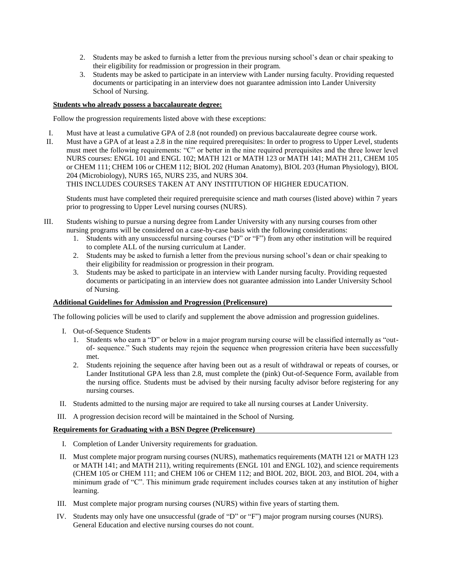- 2. Students may be asked to furnish a letter from the previous nursing school's dean or chair speaking to their eligibility for readmission or progression in their program.
- 3. Students may be asked to participate in an interview with Lander nursing faculty. Providing requested documents or participating in an interview does not guarantee admission into Lander University School of Nursing.

#### **Students who already possess a baccalaureate degree:**

Follow the progression requirements listed above with these exceptions:

- I. Must have at least a cumulative GPA of 2.8 (not rounded) on previous baccalaureate degree course work.
- II. Must have a GPA of at least a 2.8 in the nine required prerequisites: In order to progress to Upper Level, students must meet the following requirements: "C" or better in the nine required prerequisites and the three lower level NURS courses: ENGL 101 and ENGL 102; MATH 121 or MATH 123 or MATH 141; MATH 211, CHEM 105 or CHEM 111; CHEM 106 or CHEM 112; BIOL 202 (Human Anatomy), BIOL 203 (Human Physiology), BIOL 204 (Microbiology), NURS 165, NURS 235, and NURS 304.

THIS INCLUDES COURSES TAKEN AT ANY INSTITUTION OF HIGHER EDUCATION.

Students must have completed their required prerequisite science and math courses (listed above) within 7 years prior to progressing to Upper Level nursing courses (NURS).

- III. Students wishing to pursue a nursing degree from Lander University with any nursing courses from other nursing programs will be considered on a case-by-case basis with the following considerations:
	- 1. Students with any unsuccessful nursing courses ("D" or "F") from any other institution will be required to complete ALL of the nursing curriculum at Lander.
	- 2. Students may be asked to furnish a letter from the previous nursing school's dean or chair speaking to their eligibility for readmission or progression in their program.
	- 3. Students may be asked to participate in an interview with Lander nursing faculty. Providing requested documents or participating in an interview does not guarantee admission into Lander University School of Nursing.

#### **Additional Guidelines for Admission and Progression (Prelicensure)**

The following policies will be used to clarify and supplement the above admission and progression guidelines.

- I. Out-of-Sequence Students
	- 1. Students who earn a "D" or below in a major program nursing course will be classified internally as "outof- sequence." Such students may rejoin the sequence when progression criteria have been successfully met.
	- 2. Students rejoining the sequence after having been out as a result of withdrawal or repeats of courses, or Lander Institutional GPA less than 2.8, must complete the (pink) Out-of-Sequence Form, available from the nursing office. Students must be advised by their nursing faculty advisor before registering for any nursing courses.
- II. Students admitted to the nursing major are required to take all nursing courses at Lander University.
- III. A progression decision record will be maintained in the School of Nursing.

#### **Requirements for Graduating with a BSN Degree (Prelicensure)**

- I. Completion of Lander University requirements for graduation.
- II. Must complete major program nursing courses (NURS), mathematics requirements (MATH 121 or MATH 123 or MATH 141; and MATH 211), writing requirements (ENGL 101 and ENGL 102), and science requirements (CHEM 105 or CHEM 111; and CHEM 106 or CHEM 112; and BIOL 202, BIOL 203, and BIOL 204, with a minimum grade of "C". This minimum grade requirement includes courses taken at any institution of higher learning.
- III. Must complete major program nursing courses (NURS) within five years of starting them.
- IV. Students may only have one unsuccessful (grade of "D" or "F") major program nursing courses (NURS). General Education and elective nursing courses do not count.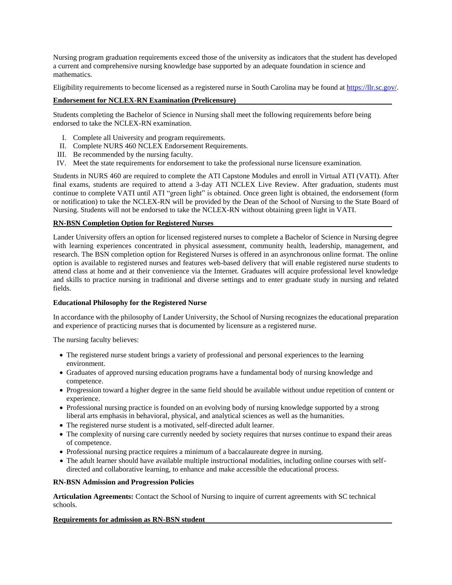Nursing program graduation requirements exceed those of the university as indicators that the student has developed a current and comprehensive nursing knowledge base supported by an adequate foundation in science and mathematics.

Eligibility requirements to become licensed as a registered nurse in South Carolina may be found at [https://llr.sc.gov/.](https://llr.sc.gov/)

#### **Endorsement for NCLEX-RN Examination (Prelicensure)**

Students completing the Bachelor of Science in Nursing shall meet the following requirements before being endorsed to take the NCLEX-RN examination.

- I. Complete all University and program requirements.
- II. Complete NURS 460 NCLEX Endorsement Requirements.
- III. Be recommended by the nursing faculty.
- IV. Meet the state requirements for endorsement to take the professional nurse licensure examination.

Students in NURS 460 are required to complete the ATI Capstone Modules and enroll in Virtual ATI (VATI). After final exams, students are required to attend a 3-day ATI NCLEX Live Review. After graduation, students must continue to complete VATI until ATI "green light" is obtained. Once green light is obtained, the endorsement (form or notification) to take the NCLEX-RN will be provided by the Dean of the School of Nursing to the State Board of Nursing. Students will not be endorsed to take the NCLEX-RN without obtaining green light in VATI.

#### **RN-BSN Completion Option for Registered Nurses**

Lander University offers an option for licensed registered nurses to complete a Bachelor of Science in Nursing degree with learning experiences concentrated in physical assessment, community health, leadership, management, and research. The BSN completion option for Registered Nurses is offered in an asynchronous online format. The online option is available to registered nurses and features web-based delivery that will enable registered nurse students to attend class at home and at their convenience via the Internet. Graduates will acquire professional level knowledge and skills to practice nursing in traditional and diverse settings and to enter graduate study in nursing and related fields.

#### **Educational Philosophy for the Registered Nurse**

In accordance with the philosophy of Lander University, the School of Nursing recognizes the educational preparation and experience of practicing nurses that is documented by licensure as a registered nurse.

The nursing faculty believes:

- The registered nurse student brings a variety of professional and personal experiences to the learning environment.
- Graduates of approved nursing education programs have a fundamental body of nursing knowledge and competence.
- Progression toward a higher degree in the same field should be available without undue repetition of content or experience.
- Professional nursing practice is founded on an evolving body of nursing knowledge supported by a strong liberal arts emphasis in behavioral, physical, and analytical sciences as well as the humanities.
- The registered nurse student is a motivated, self-directed adult learner.
- The complexity of nursing care currently needed by society requires that nurses continue to expand their areas of competence.
- Professional nursing practice requires a minimum of a baccalaureate degree in nursing.
- The adult learner should have available multiple instructional modalities, including online courses with selfdirected and collaborative learning, to enhance and make accessible the educational process.

#### **RN-BSN Admission and Progression Policies**

**Articulation Agreements:** Contact the School of Nursing to inquire of current agreements with SC technical schools.

#### **Requirements for admission as RN-BSN student**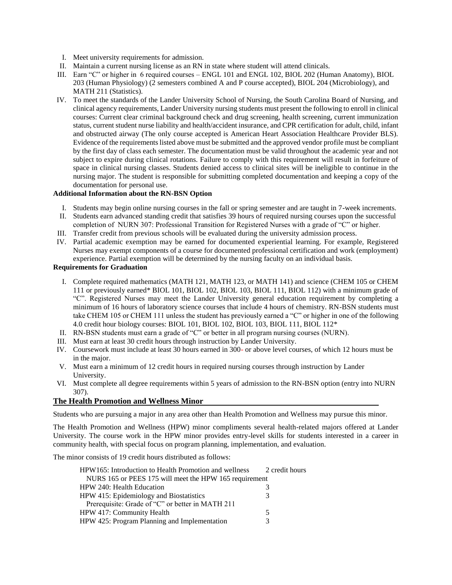- I. Meet university requirements for admission.
- II. Maintain a current nursing license as an RN in state where student will attend clinicals.
- III. Earn "C" or higher in 6 required courses ENGL 101 and ENGL 102, BIOL 202 (Human Anatomy), BIOL 203 (Human Physiology) (2 semesters combined A and P course accepted), BIOL 204 (Microbiology), and MATH 211 (Statistics).
- IV. To meet the standards of the Lander University School of Nursing, the South Carolina Board of Nursing, and clinical agency requirements, Lander University nursing students must present the following to enroll in clinical courses: Current clear criminal background check and drug screening, health screening, current immunization status, current student nurse liability and health/accident insurance, and CPR certification for adult, child, infant and obstructed airway (The only course accepted is American Heart Association Healthcare Provider BLS). Evidence of the requirements listed above must be submitted and the approved vendor profile must be compliant by the first day of class each semester. The documentation must be valid throughout the academic year and not subject to expire during clinical rotations. Failure to comply with this requirement will result in forfeiture of space in clinical nursing classes. Students denied access to clinical sites will be ineligible to continue in the nursing major. The student is responsible for submitting completed documentation and keeping a copy of the documentation for personal use.

#### **Additional Information about the RN-BSN Option**

- I. Students may begin online nursing courses in the fall or spring semester and are taught in 7-week increments.
- II. Students earn advanced standing credit that satisfies 39 hours of required nursing courses upon the successful completion of NURN 307: Professional Transition for Registered Nurses with a grade of "C" or higher.
- III. Transfer credit from previous schools will be evaluated during the university admission process.
- IV. Partial academic exemption may be earned for documented experiential learning. For example, Registered Nurses may exempt components of a course for documented professional certification and work (employment) experience. Partial exemption will be determined by the nursing faculty on an individual basis.

#### **Requirements for Graduation**

- I. Complete required mathematics (MATH 121, MATH 123, or MATH 141) and science (CHEM 105 or CHEM 111 or previously earned\* BIOL 101, BIOL 102, BIOL 103, BIOL 111, BIOL 112) with a minimum grade of "C". Registered Nurses may meet the Lander University general education requirement by completing a minimum of 16 hours of laboratory science courses that include 4 hours of chemistry. RN-BSN students must take CHEM 105 or CHEM 111 unless the student has previously earned a "C" or higher in one of the following 4.0 credit hour biology courses: BIOL 101, BIOL 102, BIOL 103, BIOL 111, BIOL 112\*
- II. RN-BSN students must earn a grade of "C" or better in all program nursing courses (NURN).
- III. Must earn at least 30 credit hours through instruction by Lander University.
- IV. Coursework must include at least 30 hours earned in 300- or above level courses, of which 12 hours must be in the major.
- V. Must earn a minimum of 12 credit hours in required nursing courses through instruction by Lander University.
- VI. Must complete all degree requirements within 5 years of admission to the RN-BSN option (entry into NURN 307).

#### **The Health Promotion and Wellness Minor**

Students who are pursuing a major in any area other than Health Promotion and Wellness may pursue this minor.

The Health Promotion and Wellness (HPW) minor compliments several health-related majors offered at Lander University. The course work in the HPW minor provides entry-level skills for students interested in a career in community health, with special focus on program planning, implementation, and evaluation.

The minor consists of 19 credit hours distributed as follows:

| HPW165: Introduction to Health Promotion and wellness  | 2 credit hours |
|--------------------------------------------------------|----------------|
| NURS 165 or PEES 175 will meet the HPW 165 requirement |                |
| HPW 240: Health Education                              |                |
| HPW 415: Epidemiology and Biostatistics<br>3           |                |
| Prerequisite: Grade of "C" or better in MATH 211       |                |
| HPW 417: Community Health<br>5                         |                |
| HPW 425: Program Planning and Implementation<br>3      |                |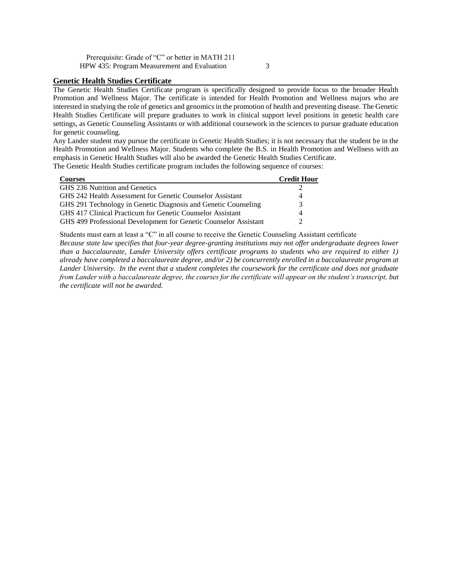Prerequisite: Grade of "C" or better in MATH 211 HPW 435: Program Measurement and Evaluation 3

#### **Genetic Health Studies Certificate**

The Genetic Health Studies Certificate program is specifically designed to provide focus to the broader Health Promotion and Wellness Major. The certificate is intended for Health Promotion and Wellness majors who are interested in studying the role of genetics and genomics in the promotion of health and preventing disease. The Genetic Health Studies Certificate will prepare graduates to work in clinical support level positions in genetic health care settings, as Genetic Counseling Assistants or with additional coursework in the sciences to pursue graduate education for genetic counseling.

Any Lander student may pursue the certificate in Genetic Health Studies; it is not necessary that the student be in the Health Promotion and Wellness Major. Students who complete the B.S. in Health Promotion and Wellness with an emphasis in Genetic Health Studies will also be awarded the Genetic Health Studies Certificate. The Genetic Health Studies certificate program includes the following sequence of courses:

| <b>Courses</b>                                                   | <b>Credit Hour</b>          |
|------------------------------------------------------------------|-----------------------------|
| GHS 236 Nutrition and Genetics                                   |                             |
| GHS 242 Health Assessment for Genetic Counselor Assistant        | 4                           |
| GHS 291 Technology in Genetic Diagnosis and Genetic Counseling   | 3                           |
| GHS 417 Clinical Practicum for Genetic Counselor Assistant       | 4                           |
| GHS 499 Professional Development for Genetic Counselor Assistant | $\mathcal{D}_{\mathcal{L}}$ |

Students must earn at least a "C" in all course to receive the Genetic Counseling Assistant certificate *Because state law specifies that four-year degree-granting institutions may not offer undergraduate degrees lower than a baccalaureate, Lander University offers certificate programs to students who are required to either 1) already have completed a baccalaureate degree, and/or 2) be concurrently enrolled in a baccalaureate program at Lander University. In the event that a student completes the coursework for the certificate and does not graduate from Lander with a baccalaureate degree, the courses for the certificate will appear on the student's transcript, but the certificate will not be awarded.*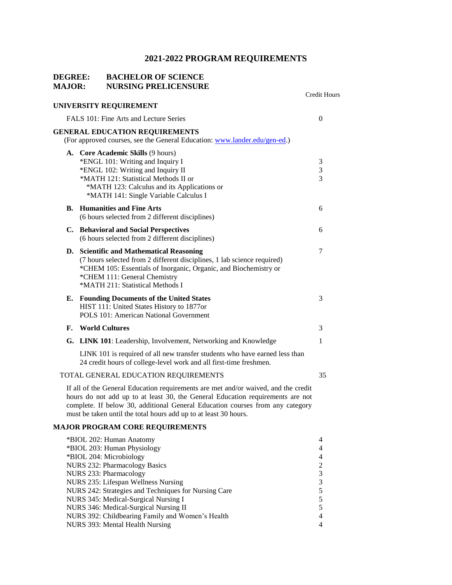## **DEGREE: BACHELOR OF SCIENCE MAJOR: NURSING PRELICENSURE**

|    |                                                                                                                                                                                                                                                                                                                           | Credit Hours                                 |
|----|---------------------------------------------------------------------------------------------------------------------------------------------------------------------------------------------------------------------------------------------------------------------------------------------------------------------------|----------------------------------------------|
|    | UNIVERSITY REQUIREMENT                                                                                                                                                                                                                                                                                                    |                                              |
|    | FALS 101: Fine Arts and Lecture Series                                                                                                                                                                                                                                                                                    | $\overline{0}$                               |
|    | <b>GENERAL EDUCATION REQUIREMENTS</b><br>(For approved courses, see the General Education: www.lander.edu/gen-ed.)                                                                                                                                                                                                        |                                              |
|    | A. Core Academic Skills (9 hours)<br>*ENGL 101: Writing and Inquiry I<br>*ENGL 102: Writing and Inquiry II<br>*MATH 121: Statistical Methods II or<br>*MATH 123: Calculus and its Applications or<br>*MATH 141: Single Variable Calculus I                                                                                | 3<br>$\sqrt{3}$<br>3                         |
| В. | <b>Humanities and Fine Arts</b><br>(6 hours selected from 2 different disciplines)                                                                                                                                                                                                                                        | 6                                            |
|    | C. Behavioral and Social Perspectives<br>(6 hours selected from 2 different disciplines)                                                                                                                                                                                                                                  | 6                                            |
|    | D. Scientific and Mathematical Reasoning<br>(7 hours selected from 2 different disciplines, 1 lab science required)<br>*CHEM 105: Essentials of Inorganic, Organic, and Biochemistry or<br>*CHEM 111: General Chemistry<br>*MATH 211: Statistical Methods I                                                               | 7                                            |
| Е. | <b>Founding Documents of the United States</b><br>HIST 111: United States History to 1877or<br>POLS 101: American National Government                                                                                                                                                                                     | 3                                            |
| F. | <b>World Cultures</b>                                                                                                                                                                                                                                                                                                     | 3                                            |
|    | G. LINK 101: Leadership, Involvement, Networking and Knowledge                                                                                                                                                                                                                                                            | 1                                            |
|    | LINK 101 is required of all new transfer students who have earned less than<br>24 credit hours of college-level work and all first-time freshmen.                                                                                                                                                                         |                                              |
|    | TOTAL GENERAL EDUCATION REQUIREMENTS                                                                                                                                                                                                                                                                                      | 35                                           |
|    | If all of the General Education requirements are met and/or waived, and the credit<br>hours do not add up to at least 30, the General Education requirements are not<br>complete. If below 30, additional General Education courses from any category<br>must be taken until the total hours add up to at least 30 hours. |                                              |
|    | <b>MAJOR PROGRAM CORE REQUIREMENTS</b>                                                                                                                                                                                                                                                                                    |                                              |
|    | *BIOL 202: Human Anatomy<br>*BIOL 203: Human Physiology<br>*BIOL 204: Microbiology<br>NURS 232: Pharmacology Basics<br>NURS 233: Pharmacology<br>NURS 235: Lifespan Wellness Nursing<br>NURS 242: Strategies and Techniques for Nursing Care                                                                              | 4<br>4<br>4<br>$\overline{c}$<br>3<br>3<br>5 |
|    | NURS 345: Medical-Surgical Nursing I<br>NURS 346: Medical-Surgical Nursing II                                                                                                                                                                                                                                             | 5<br>5                                       |

NURS 392: Childbearing Family and Women's Health 4 NURS 393: Mental Health Nursing 4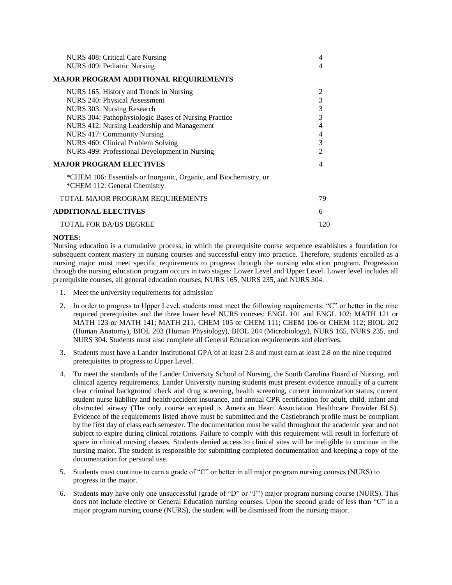| NURS 408: Critical Care Nursing                                                                   | 4              |
|---------------------------------------------------------------------------------------------------|----------------|
| NURS 409: Pediatric Nursing                                                                       | 4              |
| <b>MAJOR PROGRAM ADDITIONAL REQUIREMENTS</b>                                                      |                |
| NURS 165: History and Trends in Nursing                                                           | 2              |
| NURS 240: Physical Assessment                                                                     | 3              |
| NURS 303: Nursing Research                                                                        | 3              |
| NURS 304: Pathophysiologic Bases of Nursing Practice                                              | $\overline{3}$ |
| NURS 412: Nursing Leadership and Management                                                       | 4              |
| <b>NURS 417: Community Nursing</b>                                                                | 4              |
| NURS 460: Clinical Problem Solving                                                                | 3              |
| NURS 499: Professional Development in Nursing                                                     | $\mathfrak{D}$ |
| <b>MAJOR PROGRAM ELECTIVES</b>                                                                    | 4              |
| *CHEM 106: Essentials or Inorganic, Organic, and Biochemistry, or<br>*CHEM 112: General Chemistry |                |
| TOTAL MAJOR PROGRAM REQUIREMENTS                                                                  | 79             |
| <b>ADDITIONAL ELECTIVES</b>                                                                       | 6              |
| <b>TOTAL FOR BA/BS DEGREE</b>                                                                     | 120            |

#### **NOTES:**

Nursing education is a cumulative process, in which the prerequisite course sequence establishes a foundation for subsequent content mastery in nursing courses and successful entry into practice. Therefore, students enrolled as a nursing major must meet specific requirements to progress through the nursing education program. Progression through the nursing education program occurs in two stages: Lower Level and Upper Level. Lower level includes all prerequisite courses, all general education courses, NURS 165, NURS 235, and NURS 304.

- 1. Meet the university requirements for admission
- 2. In order to progress to Upper Level, students must meet the following requirements: "C" or better in the nine required prerequisites and the three lower level NURS courses: ENGL 101 and ENGL 102; MATH 121 or MATH 123 or MATH 141; MATH 211, CHEM 105 or CHEM 111; CHEM 106 or CHEM 112; BIOL 202 (Human Anatomy), BIOL 203 (Human Physiology), BIOL 204 (Microbiology), NURS 165, NURS 235, and NURS 304. Students must also complete all General Education requirements and electives.
- 3. Students must have a Lander Institutional GPA of at least 2.8 and must earn at least 2.8 on the nine required prerequisites to progress to Upper Level.
- 4. To meet the standards of the Lander University School of Nursing, the South Carolina Board of Nursing, and clinical agency requirements, Lander University nursing students must present evidence annually of a current clear criminal background check and drug screening, health screening, current immunization status, current student nurse liability and health/accident insurance, and annual CPR certification for adult, child, infant and obstructed airway (The only course accepted is American Heart Association Healthcare Provider BLS). Evidence of the requirements listed above must be submitted and the Castlebranch profile must be compliant by the first day of class each semester. The documentation must be valid throughout the academic year and not subject to expire during clinical rotations. Failure to comply with this requirement will result in forfeiture of space in clinical nursing classes. Students denied access to clinical sites will be ineligible to continue in the nursing major. The student is responsible for submitting completed documentation and keeping a copy of the documentation for personal use.
- 5. Students must continue to earn a grade of "C" or better in all major program nursing courses (NURS) to progress in the major.
- 6. Students may have only one unsuccessful (grade of "D" or "F") major program nursing course (NURS). This does not include elective or General Education nursing courses. Upon the second grade of less than "C" in a major program nursing course (NURS), the student will be dismissed from the nursing major.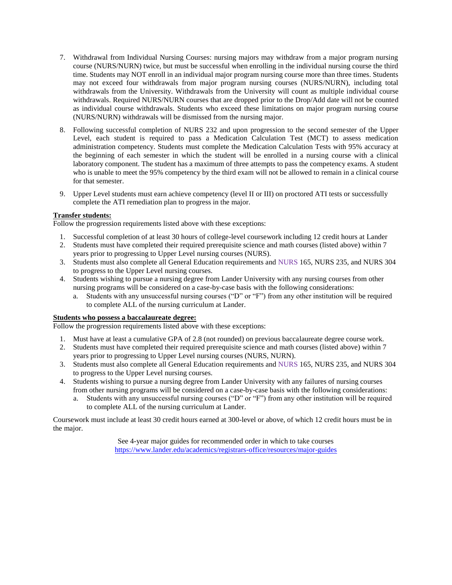- 7. Withdrawal from Individual Nursing Courses: nursing majors may withdraw from a major program nursing course (NURS/NURN) twice, but must be successful when enrolling in the individual nursing course the third time. Students may NOT enroll in an individual major program nursing course more than three times. Students may not exceed four withdrawals from major program nursing courses (NURS/NURN), including total withdrawals from the University. Withdrawals from the University will count as multiple individual course withdrawals. Required NURS/NURN courses that are dropped prior to the Drop/Add date will not be counted as individual course withdrawals. Students who exceed these limitations on major program nursing course (NURS/NURN) withdrawals will be dismissed from the nursing major.
- 8. Following successful completion of NURS 232 and upon progression to the second semester of the Upper Level, each student is required to pass a Medication Calculation Test (MCT) to assess medication administration competency. Students must complete the Medication Calculation Tests with 95% accuracy at the beginning of each semester in which the student will be enrolled in a nursing course with a clinical laboratory component. The student has a maximum of three attempts to pass the competency exams. A student who is unable to meet the 95% competency by the third exam will not be allowed to remain in a clinical course for that semester.
- 9. Upper Level students must earn achieve competency (level II or III) on proctored ATI tests or successfully complete the ATI remediation plan to progress in the major.

#### **Transfer students:**

Follow the progression requirements listed above with these exceptions:

- 1. Successful completion of at least 30 hours of college-level coursework including 12 credit hours at Lander
- 2. Students must have completed their required prerequisite science and math courses (listed above) within 7 years prior to progressing to Upper Level nursing courses (NURS).
- 3. Students must also complete all General Education requirements and NURS 165, NURS 235, and NURS 304 to progress to the Upper Level nursing courses.
- 4. Students wishing to pursue a nursing degree from Lander University with any nursing courses from other nursing programs will be considered on a case-by-case basis with the following considerations:
	- a. Students with any unsuccessful nursing courses ("D" or "F") from any other institution will be required to complete ALL of the nursing curriculum at Lander.

#### **Students who possess a baccalaureate degree:**

Follow the progression requirements listed above with these exceptions:

- 1. Must have at least a cumulative GPA of 2.8 (not rounded) on previous baccalaureate degree course work.
- 2. Students must have completed their required prerequisite science and math courses (listed above) within 7 years prior to progressing to Upper Level nursing courses (NURS, NURN).
- 3. Students must also complete all General Education requirements and NURS 165, NURS 235, and NURS 304 to progress to the Upper Level nursing courses.
- 4. Students wishing to pursue a nursing degree from Lander University with any failures of nursing courses from other nursing programs will be considered on a case-by-case basis with the following considerations:
	- a. Students with any unsuccessful nursing courses ("D" or "F") from any other institution will be required to complete ALL of the nursing curriculum at Lander.

Coursework must include at least 30 credit hours earned at 300-level or above, of which 12 credit hours must be in the major.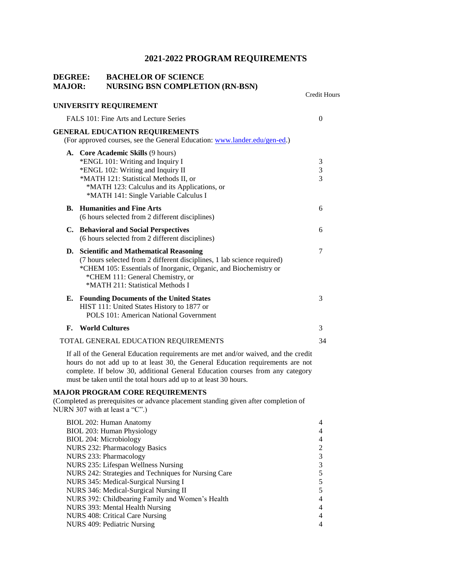Credit Hours

# **DEGREE: BACHELOR OF SCIENCE MAJOR: NURSING BSN COMPLETION (RN-BSN)**

|    | UNIVERSITY REQUIREMENT                                                                                                                                                                                                                                              |                                 |
|----|---------------------------------------------------------------------------------------------------------------------------------------------------------------------------------------------------------------------------------------------------------------------|---------------------------------|
|    | FALS 101: Fine Arts and Lecture Series                                                                                                                                                                                                                              | $\Omega$                        |
|    | <b>GENERAL EDUCATION REQUIREMENTS</b><br>(For approved courses, see the General Education: www.lander.edu/gen-ed.)                                                                                                                                                  |                                 |
|    | A. Core Academic Skills (9 hours)<br>*ENGL 101: Writing and Inquiry I<br>*ENGL 102: Writing and Inquiry II<br>*MATH 121: Statistical Methods II, or<br>*MATH 123: Calculus and its Applications, or<br>*MATH 141: Single Variable Calculus I                        | $\mathfrak{Z}$<br>$\frac{3}{3}$ |
|    | <b>B.</b> Humanities and Fine Arts<br>(6 hours selected from 2 different disciplines)                                                                                                                                                                               | 6                               |
|    | C. Behavioral and Social Perspectives<br>(6 hours selected from 2 different disciplines)                                                                                                                                                                            | 6                               |
| D. | <b>Scientific and Mathematical Reasoning</b><br>(7 hours selected from 2 different disciplines, 1 lab science required)<br>*CHEM 105: Essentials of Inorganic, Organic, and Biochemistry or<br>*CHEM 111: General Chemistry, or<br>*MATH 211: Statistical Methods I | 7                               |
|    | E. Founding Documents of the United States<br>HIST 111: United States History to 1877 or<br>POLS 101: American National Government                                                                                                                                  | 3                               |
| F. | <b>World Cultures</b>                                                                                                                                                                                                                                               | 3                               |
|    | TOTAL GENERAL EDUCATION REQUIREMENTS                                                                                                                                                                                                                                | 34                              |

If all of the General Education requirements are met and/or waived, and the credit hours do not add up to at least 30, the General Education requirements are not complete. If below 30, additional General Education courses from any category must be taken until the total hours add up to at least 30 hours.

#### **MAJOR PROGRAM CORE REQUIREMENTS**

(Completed as prerequisites or advance placement standing given after completion of NURN 307 with at least a "C".)

| 4 |
|---|
| 4 |
|   |
| 3 |
| 3 |
|   |
|   |
|   |
| 4 |
| 4 |
| 4 |
| 4 |
|   |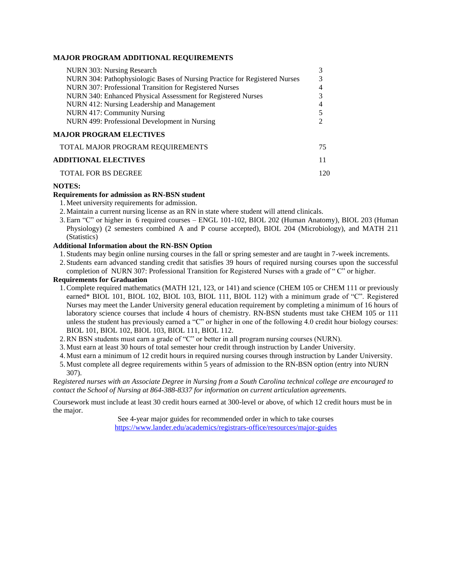#### **MAJOR PROGRAM ADDITIONAL REQUIREMENTS**

| NURN 303: Nursing Research                                                 |     |
|----------------------------------------------------------------------------|-----|
| NURN 304: Pathophysiologic Bases of Nursing Practice for Registered Nurses | 3   |
| NURN 307: Professional Transition for Registered Nurses                    | 4   |
| NURN 340: Enhanced Physical Assessment for Registered Nurses               | 3   |
| NURN 412: Nursing Leadership and Management                                | 4   |
| NURN 417: Community Nursing                                                |     |
| NURN 499: Professional Development in Nursing                              |     |
| <b>MAJOR PROGRAM ELECTIVES</b>                                             |     |
| TOTAL MAJOR PROGRAM REQUIREMENTS                                           | 75  |
| <b>ADDITIONAL ELECTIVES</b>                                                | 11  |
| <b>TOTAL FOR BS DEGREE</b>                                                 | 120 |

#### **NOTES:**

#### **Requirements for admission as RN-BSN student**

- 1.Meet university requirements for admission.
- 2.Maintain a current nursing license as an RN in state where student will attend clinicals.
- 3.Earn "C" or higher in 6 required courses ENGL 101-102, BIOL 202 (Human Anatomy), BIOL 203 (Human Physiology) (2 semesters combined A and P course accepted), BIOL 204 (Microbiology), and MATH 211 (Statistics)

#### **Additional Information about the RN-BSN Option**

- 1. Students may begin online nursing courses in the fall or spring semester and are taught in 7-week increments.
- 2. Students earn advanced standing credit that satisfies 39 hours of required nursing courses upon the successful completion of NURN 307: Professional Transition for Registered Nurses with a grade of " C" or higher.

#### **Requirements for Graduation**

- 1.Complete required mathematics (MATH 121, 123, or 141) and science (CHEM 105 or CHEM 111 or previously earned\* BIOL 101, BIOL 102, BIOL 103, BIOL 111, BIOL 112) with a minimum grade of "C". Registered Nurses may meet the Lander University general education requirement by completing a minimum of 16 hours of laboratory science courses that include 4 hours of chemistry. RN-BSN students must take CHEM 105 or 111 unless the student has previously earned a "C" or higher in one of the following 4.0 credit hour biology courses: BIOL 101, BIOL 102, BIOL 103, BIOL 111, BIOL 112.
- 2.RN BSN students must earn a grade of "C" or better in all program nursing courses (NURN).
- 3.Must earn at least 30 hours of total semester hour credit through instruction by Lander University.
- 4.Must earn a minimum of 12 credit hours in required nursing courses through instruction by Lander University.
- 5.Must complete all degree requirements within 5 years of admission to the RN-BSN option (entry into NURN 307).

R*egistered nurses with an Associate Degree in Nursing from a South Carolina technical college are encouraged to contact the School of Nursing at 864-388-8337 for information on current articulation agreement*s.

Coursework must include at least 30 credit hours earned at 300-level or above, of which 12 credit hours must be in the major.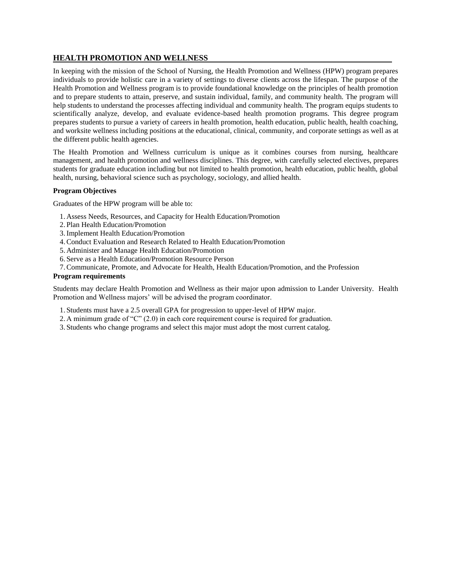## **HEALTH PROMOTION AND WELLNESS**

In keeping with the mission of the School of Nursing, the Health Promotion and Wellness (HPW) program prepares individuals to provide holistic care in a variety of settings to diverse clients across the lifespan. The purpose of the Health Promotion and Wellness program is to provide foundational knowledge on the principles of health promotion and to prepare students to attain, preserve, and sustain individual, family, and community health. The program will help students to understand the processes affecting individual and community health. The program equips students to scientifically analyze, develop, and evaluate evidence-based health promotion programs. This degree program prepares students to pursue a variety of careers in health promotion, health education, public health, health coaching, and worksite wellness including positions at the educational, clinical, community, and corporate settings as well as at the different public health agencies.

The Health Promotion and Wellness curriculum is unique as it combines courses from nursing, healthcare management, and health promotion and wellness disciplines. This degree, with carefully selected electives, prepares students for graduate education including but not limited to health promotion, health education, public health, global health, nursing, behavioral science such as psychology, sociology, and allied health.

#### **Program Objectives**

Graduates of the HPW program will be able to:

- 1. Assess Needs, Resources, and Capacity for Health Education/Promotion
- 2. Plan Health Education/Promotion
- 3.Implement Health Education/Promotion
- 4.Conduct Evaluation and Research Related to Health Education/Promotion
- 5. Administer and Manage Health Education/Promotion
- 6. Serve as a Health Education/Promotion Resource Person
- 7.Communicate, Promote, and Advocate for Health, Health Education/Promotion, and the Profession

#### **Program requirements**

Students may declare Health Promotion and Wellness as their major upon admission to Lander University. Health Promotion and Wellness majors' will be advised the program coordinator.

- 1. Students must have a 2.5 overall GPA for progression to upper-level of HPW major.
- 2. A minimum grade of "C" (2.0) in each core requirement course is required for graduation.
- 3. Students who change programs and select this major must adopt the most current catalog.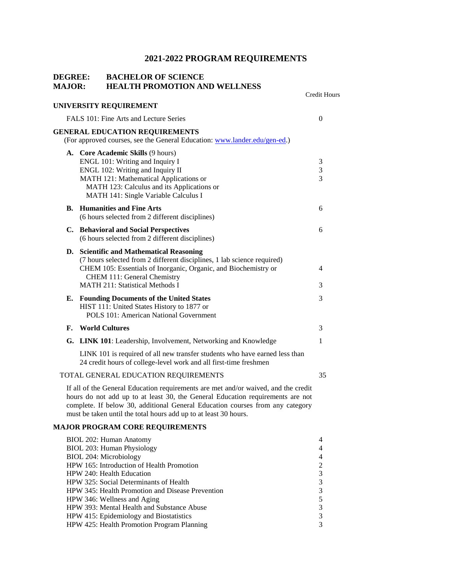# **DEGREE: BACHELOR OF SCIENCE MAJOR: HEALTH PROMOTION AND WELLNESS**

| MAJVR. | <b>HEALTH I NOMOTION AND WELLINESS</b>                                                                                                                                                                                                                                                                                    | <b>Credit Hours</b>                     |
|--------|---------------------------------------------------------------------------------------------------------------------------------------------------------------------------------------------------------------------------------------------------------------------------------------------------------------------------|-----------------------------------------|
|        | UNIVERSITY REQUIREMENT                                                                                                                                                                                                                                                                                                    |                                         |
|        | FALS 101: Fine Arts and Lecture Series                                                                                                                                                                                                                                                                                    | $\overline{0}$                          |
|        | <b>GENERAL EDUCATION REQUIREMENTS</b><br>(For approved courses, see the General Education: www.lander.edu/gen-ed.)                                                                                                                                                                                                        |                                         |
|        | A. Core Academic Skills (9 hours)<br>ENGL 101: Writing and Inquiry I<br>ENGL 102: Writing and Inquiry II<br>MATH 121: Mathematical Applications or<br>MATH 123: Calculus and its Applications or<br>MATH 141: Single Variable Calculus I                                                                                  | 3<br>$\sqrt{3}$<br>3                    |
| В.     | <b>Humanities and Fine Arts</b><br>(6 hours selected from 2 different disciplines)                                                                                                                                                                                                                                        | 6                                       |
|        | C. Behavioral and Social Perspectives<br>(6 hours selected from 2 different disciplines)                                                                                                                                                                                                                                  | 6                                       |
|        | D. Scientific and Mathematical Reasoning<br>(7 hours selected from 2 different disciplines, 1 lab science required)<br>CHEM 105: Essentials of Inorganic, Organic, and Biochemistry or<br>CHEM 111: General Chemistry<br><b>MATH 211: Statistical Methods I</b>                                                           | 4<br>3                                  |
| Е.     | <b>Founding Documents of the United States</b><br>HIST 111: United States History to 1877 or<br><b>POLS 101: American National Government</b>                                                                                                                                                                             | 3                                       |
| F.     | <b>World Cultures</b>                                                                                                                                                                                                                                                                                                     | 3                                       |
|        | G. LINK 101: Leadership, Involvement, Networking and Knowledge                                                                                                                                                                                                                                                            | 1                                       |
|        | LINK 101 is required of all new transfer students who have earned less than<br>24 credit hours of college-level work and all first-time freshmen                                                                                                                                                                          |                                         |
|        | TOTAL GENERAL EDUCATION REQUIREMENTS                                                                                                                                                                                                                                                                                      | 35                                      |
|        | If all of the General Education requirements are met and/or waived, and the credit<br>hours do not add up to at least 30, the General Education requirements are not<br>complete. If below 30, additional General Education courses from any category<br>must be taken until the total hours add up to at least 30 hours. |                                         |
|        | <b>MAJOR PROGRAM CORE REQUIREMENTS</b>                                                                                                                                                                                                                                                                                    |                                         |
|        | BIOL 202: Human Anatomy<br>BIOL 203: Human Physiology<br><b>BIOL 204: Microbiology</b><br>HPW 165: Introduction of Health Promotion<br>HPW 240: Health Education<br>HPW 325: Social Determinants of Health                                                                                                                | 4<br>4<br>4<br>$\overline{c}$<br>3<br>3 |
|        | HPW 345: Health Promotion and Disease Prevention<br>HPW 346: Wellness and Aging<br>HPW 393: Mental Health and Substance Abuse<br>HPW 415: Epidemiology and Biostatistics                                                                                                                                                  | 3<br>5<br>3<br>3                        |

HPW 415: Epidemiology and Biostatistics 3 HPW 425: Health Promotion Program Planning 3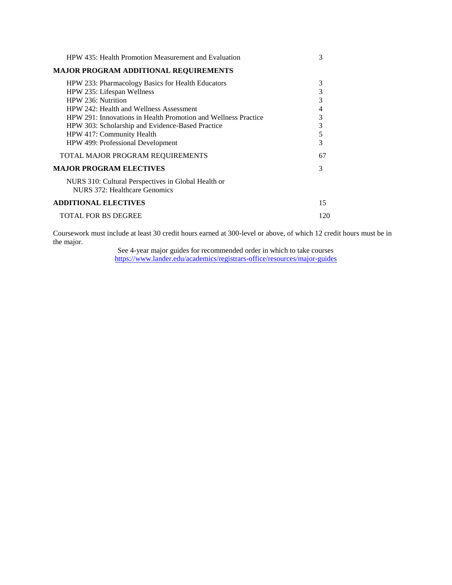| HPW 435: Health Promotion Measurement and Evaluation                                                                                                                                                                                                                                                                                     | 3                                                 |
|------------------------------------------------------------------------------------------------------------------------------------------------------------------------------------------------------------------------------------------------------------------------------------------------------------------------------------------|---------------------------------------------------|
| <b>MAJOR PROGRAM ADDITIONAL REQUIREMENTS</b>                                                                                                                                                                                                                                                                                             |                                                   |
| HPW 233: Pharmacology Basics for Health Educators<br>HPW 235: Lifespan Wellness<br>HPW 236: Nutrition<br>HPW 242: Health and Wellness Assessment<br>HPW 291: Innovations in Health Promotion and Wellness Practice<br>HPW 303: Scholarship and Evidence-Based Practice<br>HPW 417: Community Health<br>HPW 499: Professional Development | 3<br>3<br>3<br>$\overline{4}$<br>3<br>3<br>5<br>3 |
| TOTAL MAJOR PROGRAM REQUIREMENTS                                                                                                                                                                                                                                                                                                         | 67                                                |
| <b>MAJOR PROGRAM ELECTIVES</b><br>NURS 310: Cultural Perspectives in Global Health or<br>NURS 372: Healthcare Genomics                                                                                                                                                                                                                   | 3                                                 |
| <b>ADDITIONAL ELECTIVES</b>                                                                                                                                                                                                                                                                                                              | 15                                                |
| <b>TOTAL FOR BS DEGREE</b>                                                                                                                                                                                                                                                                                                               | 120                                               |

Coursework must include at least 30 credit hours earned at 300-level or above, of which 12 credit hours must be in the major.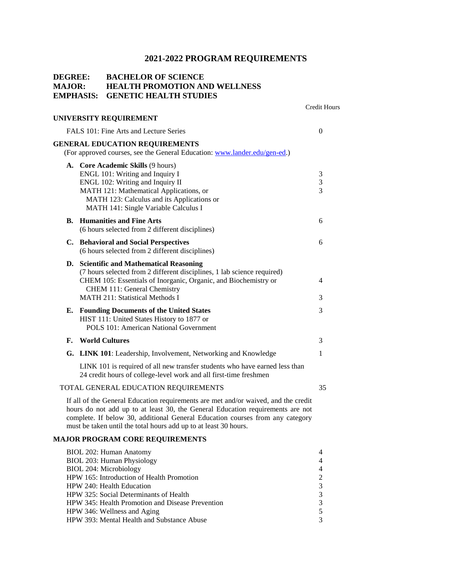Credit Hours

# **DEGREE: BACHELOR OF SCIENCE MAJOR: HEALTH PROMOTION AND WELLNESS EMPHASIS: GENETIC HEALTH STUDIES**

|    | <b>UNIVERSITY REQUIREMENT</b>                                                                                                                                                                                                                                                                                             |              |
|----|---------------------------------------------------------------------------------------------------------------------------------------------------------------------------------------------------------------------------------------------------------------------------------------------------------------------------|--------------|
|    | FALS 101: Fine Arts and Lecture Series                                                                                                                                                                                                                                                                                    | 0            |
|    | <b>GENERAL EDUCATION REQUIREMENTS</b><br>(For approved courses, see the General Education: www.lander.edu/gen-ed.)                                                                                                                                                                                                        |              |
|    | A. Core Academic Skills (9 hours)<br>ENGL 101: Writing and Inquiry I<br>ENGL 102: Writing and Inquiry II<br>MATH 121: Mathematical Applications, or<br>MATH 123: Calculus and its Applications or<br>MATH 141: Single Variable Calculus I                                                                                 | 3<br>3<br>3  |
|    | <b>B.</b> Humanities and Fine Arts<br>(6 hours selected from 2 different disciplines)                                                                                                                                                                                                                                     | 6            |
|    | C. Behavioral and Social Perspectives<br>(6 hours selected from 2 different disciplines)                                                                                                                                                                                                                                  | 6            |
|    | D. Scientific and Mathematical Reasoning<br>(7 hours selected from 2 different disciplines, 1 lab science required)<br>CHEM 105: Essentials of Inorganic, Organic, and Biochemistry or<br>CHEM 111: General Chemistry<br><b>MATH 211: Statistical Methods I</b>                                                           | 4<br>3       |
|    | E. Founding Documents of the United States<br>HIST 111: United States History to 1877 or<br><b>POLS 101: American National Government</b>                                                                                                                                                                                 | 3            |
| F. | <b>World Cultures</b>                                                                                                                                                                                                                                                                                                     | 3            |
|    | G. LINK 101: Leadership, Involvement, Networking and Knowledge                                                                                                                                                                                                                                                            | $\mathbf{1}$ |
|    | LINK 101 is required of all new transfer students who have earned less than<br>24 credit hours of college-level work and all first-time freshmen                                                                                                                                                                          |              |
|    | TOTAL GENERAL EDUCATION REQUIREMENTS                                                                                                                                                                                                                                                                                      | 35           |
|    | If all of the General Education requirements are met and/or waived, and the credit<br>hours do not add up to at least 30, the General Education requirements are not<br>complete. If below 30, additional General Education courses from any category<br>must be taken until the total hours add up to at least 30 hours. |              |

# **MAJOR PROGRAM CORE REQUIREMENTS**

| BIOL 202: Human Anatomy                                 | $\overline{4}$ |
|---------------------------------------------------------|----------------|
| BIOL 203: Human Physiology                              | 4              |
| BIOL 204: Microbiology                                  | 4              |
| HPW 165: Introduction of Health Promotion               | 2              |
| HPW 240: Health Education                               | 3              |
| HPW 325: Social Determinants of Health                  | 3              |
| <b>HPW</b> 345: Health Promotion and Disease Prevention | 3              |
| HPW 346: Wellness and Aging                             | 5              |
| HPW 393: Mental Health and Substance Abuse              | 3              |